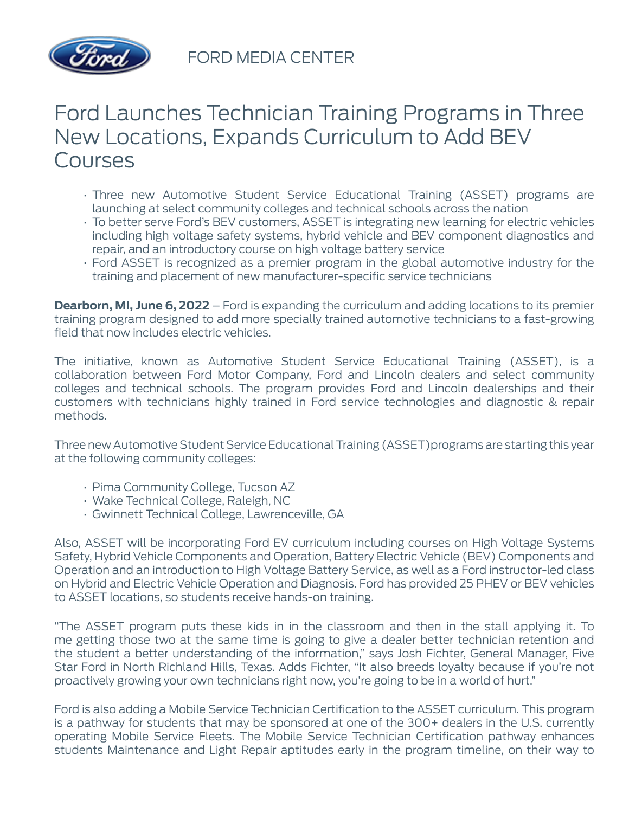

FORD MEDIA CENTER

## Ford Launches Technician Training Programs in Three New Locations, Expands Curriculum to Add BEV Courses

- Three new Automotive Student Service Educational Training (ASSET) programs are launching at select community colleges and technical schools across the nation
- To better serve Ford's BEV customers, ASSET is integrating new learning for electric vehicles including high voltage safety systems, hybrid vehicle and BEV component diagnostics and repair, and an introductory course on high voltage battery service
- Ford ASSET is recognized as a premier program in the global automotive industry for the training and placement of new manufacturer-specific service technicians

**Dearborn, MI, June 6, 2022** – Ford is expanding the curriculum and adding locations to its premier training program designed to add more specially trained automotive technicians to a fast-growing field that now includes electric vehicles.

The initiative, known as Automotive Student Service Educational Training (ASSET), is a collaboration between Ford Motor Company, Ford and Lincoln dealers and select community colleges and technical schools. The program provides Ford and Lincoln dealerships and their customers with technicians highly trained in Ford service technologies and diagnostic & repair methods.

Three new Automotive Student Service Educational Training (ASSET)programs are starting this year at the following community colleges:

- Pima Community College, Tucson AZ
- Wake Technical College, Raleigh, NC
- Gwinnett Technical College, Lawrenceville, GA

Also, ASSET will be incorporating Ford EV curriculum including courses on High Voltage Systems Safety, Hybrid Vehicle Components and Operation, Battery Electric Vehicle (BEV) Components and Operation and an introduction to High Voltage Battery Service, as well as a Ford instructor-led class on Hybrid and Electric Vehicle Operation and Diagnosis. Ford has provided 25 PHEV or BEV vehicles to ASSET locations, so students receive hands-on training.

"The ASSET program puts these kids in in the classroom and then in the stall applying it. To me getting those two at the same time is going to give a dealer better technician retention and the student a better understanding of the information," says Josh Fichter, General Manager, Five Star Ford in North Richland Hills, Texas. Adds Fichter, "It also breeds loyalty because if you're not proactively growing your own technicians right now, you're going to be in a world of hurt."

Ford is also adding a Mobile Service Technician Certification to the ASSET curriculum. This program is a pathway for students that may be sponsored at one of the 300+ dealers in the U.S. currently operating Mobile Service Fleets. The Mobile Service Technician Certification pathway enhances students Maintenance and Light Repair aptitudes early in the program timeline, on their way to